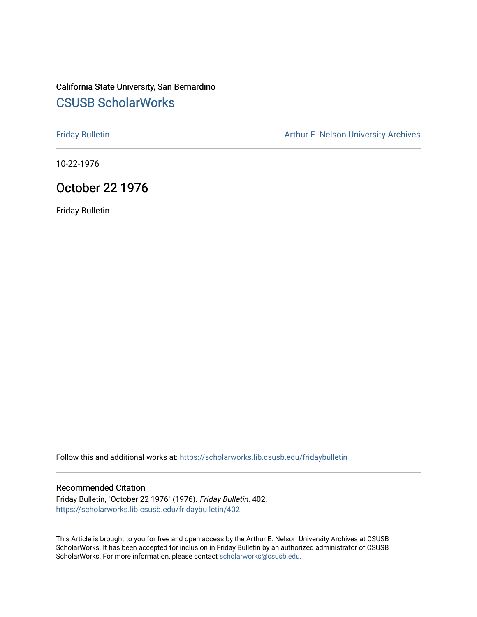# California State University, San Bernardino [CSUSB ScholarWorks](https://scholarworks.lib.csusb.edu/)

[Friday Bulletin](https://scholarworks.lib.csusb.edu/fridaybulletin) **Arthur E. Nelson University Archives** Arthur E. Nelson University Archives

10-22-1976

# October 22 1976

Friday Bulletin

Follow this and additional works at: [https://scholarworks.lib.csusb.edu/fridaybulletin](https://scholarworks.lib.csusb.edu/fridaybulletin?utm_source=scholarworks.lib.csusb.edu%2Ffridaybulletin%2F402&utm_medium=PDF&utm_campaign=PDFCoverPages)

## Recommended Citation

Friday Bulletin, "October 22 1976" (1976). Friday Bulletin. 402. [https://scholarworks.lib.csusb.edu/fridaybulletin/402](https://scholarworks.lib.csusb.edu/fridaybulletin/402?utm_source=scholarworks.lib.csusb.edu%2Ffridaybulletin%2F402&utm_medium=PDF&utm_campaign=PDFCoverPages)

This Article is brought to you for free and open access by the Arthur E. Nelson University Archives at CSUSB ScholarWorks. It has been accepted for inclusion in Friday Bulletin by an authorized administrator of CSUSB ScholarWorks. For more information, please contact [scholarworks@csusb.edu.](mailto:scholarworks@csusb.edu)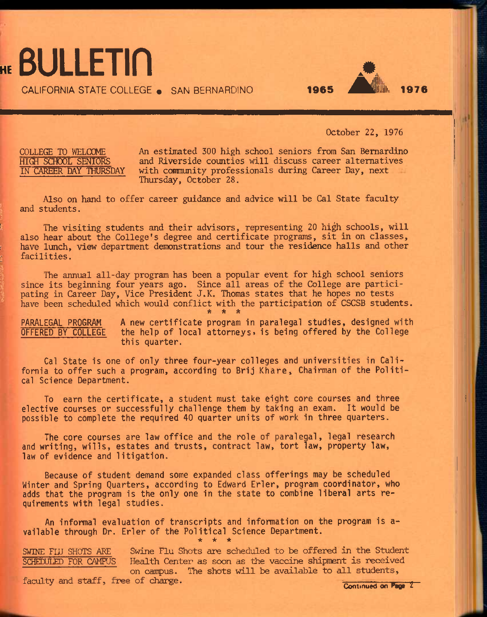HE **BULLETIN** CALIFORNIA STATE COLLEGE . SAN BERNARDINO

October 22, 1976

COLLEGE TO WELCOME An estimated 300 high school seniors from San Bernardino<br>HIGH SCHOOL SENIORS and Riverside counties will discuss career alternatives HIGH SCHOOL SENIORS and Riverside counties will discuss career alternatives<br>IN CAREER DAY THURSDAY with community professionals during Career Day, next with community professionals during Career Day, next Thursday, October 28.

Also on hand to offer career guidance and advice will be Cal State faculty and students.

The visiting students and their advisors, representing 20 high schools, will also hear about the College's degree and certificate programs, sit in on classes, have lunch, view department demonstrations and tour the residence halls and other facilities.

also he<br>
have 1:<br>
facili<br>
T<br>
since<br>
pating<br>
have be<br>
PARALE<sup>1</sup> The annual all-day program has been a popular event for high school seniors since its beginning four years ago. Since all areas of the College are participating in Career Day, Vice President J.K. Thomas states that he hopes no tests have been scheduled which would conflict with the participation of CSCSB students.  $*$  \* \*

PARALEGAL PROGRAM A new certificate program in paralegal studies, designed with<br>OFFERED BY COLLEGE the help of local attorneys, is being offered by the College the help of local attorneys, is being offered by the College this quarter.

Cal State is one of only three four-year colleges and universities in California to offer such a program, according to Brij Khare, Chairman of the Political Science Department.

To earn the certificate, a student must take eight core courses and three elective courses or successfully challenge them by taking an exam. It would be possible to complete the required 40 quarter units of work in three quarters.

The core courses are law office and the role of paralegal, legal research and writing, wills, estates and trusts, contract law, tort law, property law, law of evidence and litigation.

Because of student demand some expanded class offerings may be scheduled Winter and Spring Quarters, according to Edward Erler, program coordinator, who adds that the program is the only one in the state to combine liberal arts requirements with legal studies.

An informal evaluation of transcripts and information on the program is available through Dr. Erler of the Political Science Department. **\* \* \*** 

SWINE FLU SHOTS ARE Swine Flu Shots are scheduled to be offered in the Student SCHFINTIED FOR CAMPUS Health Center as soon as the vaccine shipment is received on campus. The shots will be available to all students, faculty and staff, free of charge.

Continued on Page 2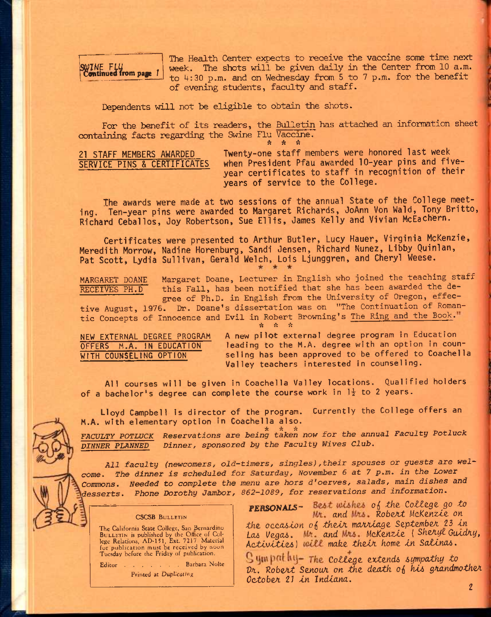$\begin{bmatrix} \text{SWINE} & \text{FLU} \\ \text{Continued from page} & 1 \end{bmatrix}$ 

The Health Center expects to receive the vaccine some time next week. The shots will be given daily in the Center *from* 10 a.m. to  $4:30$  p.m. and on Wednesday from 5 to 7 p.m. for the benefit of evening students, faculty and staff.

Dependents will not be eligible to obtain the shots.

For the benefit of its readers, the Bulletin has attached an information sheet containing facts regarding the Swine Flu Vaccine.

ft ft ft

21 STAFF MEMBERS AWARDED SERVICE PINS & CERTIFICATES

Twenty-one staff members were honored last week when President Pfau awarded 10-year pins and fiveyear certificates to staff in recognition of their years of service to the College.

The awards were made at two sessions of the annual State of the College meeting. Ten-year pins were awarded to Margaret Richards, JoAnn Von Wald, Tony Britto, Richard Ceballos, Joy Robertson, Sue Ellis, James Kelly and Vivian McEachern.

Certificates were presented to Arthur Butler, Lucy Hauer, Virginia McKenzie, Meredith Morrow, Nadine Horenburg, Sandi Jensen, Richard Nunez, Libby Quinlan, Pat Scott, Lydia Sullivan, Gerald Welch, Lois Ljunggren, and Cheryl Weese.

MARGARET DOANE Margaret Doane, Lecturer in English who joined the teaching staff RECEIVES PH.D this Fall, has been notified that she has been awarded the degree of Ph.D. in English from the University of Oregon, effec-

tive August, 1976. Dr. Doane's dissertation was on "The Continuation of Romantic Concepts of Innocence and Evil in Robert Browning's The Ring and the Book. ft ft ft

NEW EXTERNAL DEGREE PROGRAM OFFERS M.A. IN EDUCATION WITH COUNSELING OPTION

A new pilot external degree program In Education leading to the M.A. degree with an option in counseling has been approved to be offered to Coachella Valley teachers interested in counseling.

All courses will be given in Coachella Valley locations. Qualified holders of a bachelor's degree can complete the course work in  $1\frac{1}{2}$  to 2 years.

Lloyd Campbell is director of the program. Currently the College offers an M.A. with elementary option in Coachella also.

ra. With clumentary option in codencing taken now for the annual Faculty Potluck *DINNER PLANNBD~ Dinner, sponsored by the Faculty Wives Club.* 

*All faculty (newcomers, old-timers, singles),their spouses or guests are welcome. The dinner is scheduled for Saturday, November 6 at 7 p.m. in the Lower Commons. Needed to complete the menu are hors d'oerves, salads, main dishes and desserts. Phone Dorothy Jambor, 862-1089, for reservations and information.* 

CSCSB BULLETIN

The California State College, San Bernardino BULLETIN is published by the Office of Col-<br>lege Relations, AD-151, Ext. 7217 Material fur publication must be received by noon Tuesday before the Friday of publication.

Editor . . . . Barbara Nolte Printed at Duplicating

PERSONALS- Best wishes of the College go to *and JlobeAt McKenzie on the oecaiton* oj5 *theiA. moAAlage* Sep-temfaeA 23 *tn*  Las Vegas. Mr. and Mrs. McKenzie (Sheryl Guidry,

*ActtvttieJi] make tkelA home tn Saltna^. Cottege extendi 6ympathy to Dr.* Robert Senour on the death of his grandmother *OctobeA 21 tn Indiana.* 

*2*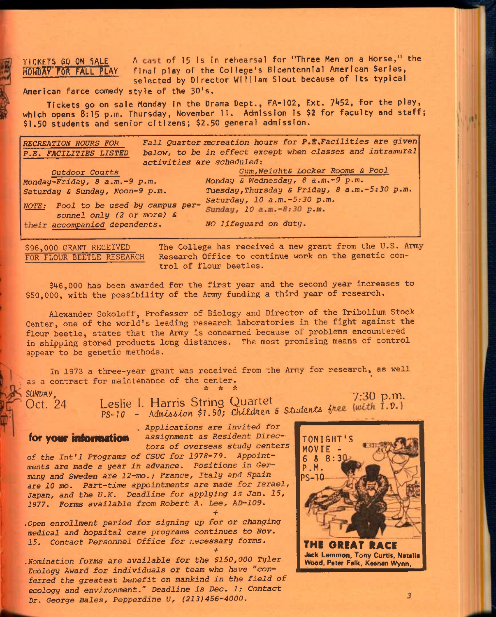TICKETS GO ON SALE A cast of 15 Is In rehearsal for "Three Men on a Horse," the HMAV P6R PA**L**L P**LAY** final play of the College's Bicentennial American Series, selected by Director William Slout because of its typical

American farce comedy style of the 30's.

Tickets go on sale Monday in the Drama Dept., FA-102, Ext. 7452, for the play, which opens 8:15 p.m. Thursday, November 11. Admission is \$2 for faculty and staff; \$1.50 students and senior citizens; \$2.50 general admission.

| <b>RECREATION HOURS FOR</b><br>P.E. FACILITIES LISTED<br>activities are scheduled: | Fall Quarter recreation hours for P.E.Facilities are given<br>below, to be in effect except when classes and intramural |
|------------------------------------------------------------------------------------|-------------------------------------------------------------------------------------------------------------------------|
| Outdoor Courts                                                                     | Gym, Weight& Locker Rooms & Pool                                                                                        |
| Monday-Friday, 8 a.m.-9 p.m.                                                       | Monday & Wednesday, 8 a.m.-9 p.m.                                                                                       |
| Saturday & Sunday, Noon-9 p.m.                                                     | Tuesday, Thursday & Friday, 8 a.m.-5:30 p.m.                                                                            |
| NOTE: Pool to be used by campus per-<br>sonnel only (2 or more) &                  | Saturday, 10 a.m.-5:30 p.m.<br>Sunday, 10 a.m. -8:30 p.m.                                                               |
| their accompanied dependents.                                                      | NO lifeguard on duty.                                                                                                   |

\$96,000 GRANT RECEIVED The College has received a new grant from the U.S. Army<br>FOR FLOUR BEETLE RESEARCH Research Office to continue work on the genetic con-Research Office to continue work on the genetic control of flour beetles.

\$46,000 has been awarded for the first year and the second year increases to \$50,000, with the possibility of the Army funding a third year of research.

Alexander Sokoloff, Professor of Biology and Director of the Tribolium Stock Center, one of the world's leading research laboratories in the fight against the flour beetle, states that the Army is concerned because of problems encountered in shipping stored products long distances. The most promising means of control appear to be genetic methods.

In 1973 a three-year grant was received from the Army for research, as well as a contract for maintenance of the center.<br>Subsetting

SUNDAY,<br>Oct. 24 Leslie I. Harris String Quartet 7:30 p.m. Sunbar,<br>Oct. 24 Leslie I. Harris String Quartet prints the light I.D. PS-10 - *KdmUi&loYi \$1.50; ChlZd/ian B Siiidznt& i* 

*. Applications are invited for*  for **vour information** assignment as Resident Direc*tors of overseas study centers* 

*+* 

*of the Int'l Programs of CSUC for 1978-79. Appointments are made a year in advance. Positions in Germany and Sweden are 12-mo.; France, Italy and Spain are 10 mo. Part-time appointments are made for Israel, Japan, and the U.K. Deadline for applying is Jan. 15, 1977. Forms available from Robert A. Lee, AD-109. +* 

*.Open enrollment period for signing up for or changing medical and hopsital care programs continues to Nov. 15. Contact Personnel Office for necessary* forms.

*.Nomination forms are available for the \$150,000 Tyler Ecology Award for individuals or team who have "conferred the greatest benefit on mankind in the field of ecology and environment." Deadline is Dec. 1; Contact Dr. George Bales, Pepperdine U, (213)456-4000.* 



3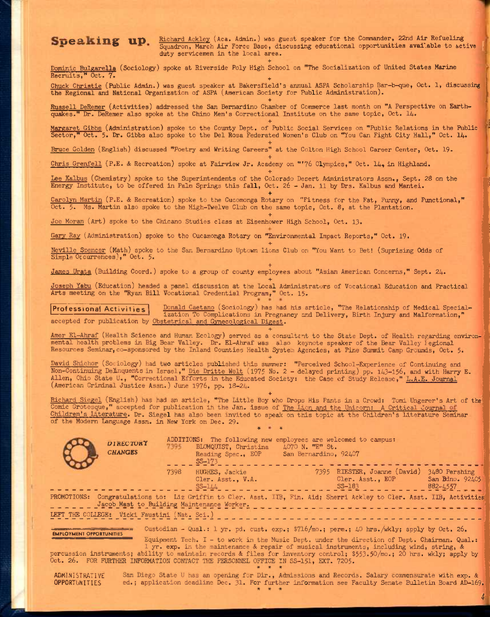eaking up **Eichard Ackley** (Aca. Admin.) was guest speaker for the Commander, 22nd Air Refueling Teaking up. Hichard Ackley (Aca. Admin.) was guest speaker for the Commander, 22nd Air Refueling Squadron, March Air Force Base, discussing educational opportunities available to active duty servicemen in the local area. Squadron, March Air Force Base, discussing educational opportunities available to active duty servicemen in the local area.

+ Dominic Buiparella (Sociology) spoke at Riverside Poly High School on "The Socialization of United States Marine Recruits," Oct. 7.

Chuck Christie (Public Admin.) was guest speaker at Bakersfield's annual ASPA Scholarship Bar-b-que, Oct. 1, discussing the Regional and National Organization of ASPA (American Society for Public Administration).

+ Russell DeRemer (Activities) addressed the San Bernardino Chamber of Commerce last month on "A Perspective on Earthquakes." Dr. DeRemer also spoke at the Chino Men's Correctional Institute on the same topic, Oct. 14.

+ Margaret Gibbs (Administration) spoke to the County Dept. of Public Social Services on "Public Relations in the Public Sector," Oct. 5. Dr. Gibbs also spoke to the Del Rosa Federated Women's Club on "You Can Fight City Hall," Oct. 14.

+

+

+

+

+

+

Bruce Golden (English) discussed "Poetry and Writing Careers" at the Colton High School Career Center, Oct. 19.

Chris Grenfell (P.E. & Recreation) spoke at Fairview Jr. Academy on "'76 Olympics," Oct. 14, in Highland.

Lee Kalbus (Chemistry) spoke to the Superintendents of the Colorado Desert Administrators Assn., Sept. 28 on the Energy Institute, to be offered in Palm Springs this fall, Oct. 26 - Jan. 11 by Drs. Kalbus and Mantei.

Carolyn Martin (P.E. & Recreation) spoke to the Cucomonga Rotary on "Fitness for the Fat, Funny, and Functional," Oct. 5. Ms. Martin also spoke to the High-Twelve Club on the same topic, Oct. 8, at the Plantation.

Joe Moran (Art) spoke to the Chicano Studies class at Eisenhower High School, Oct, 13,

Gary Ray (Administration) spoke to the Cucsimonga Rotary on "Environmental Impact Reports," Oct. 19.

Neville Spencer (Math) spoke to the San Bernardino Uptown lions Club on "You Want to Bet! (Suprising Odds of Simple Occurrences)," Oct. 5.

James Urata (Building Coord.) spoke to a group of county employees about "Asian American Concerns," Sept, 24,

Joseph Yabu (Education) headed a panel discussion at the Local Administrators of Vocational Education and Practical Arts meeting on the "Ryan Bill Vocational Credential Program," Oct. 15.

Professional Activities Donald Caetano (Sociology) has had his article, "The Relationship of Medical Specialization To Complications in Pregnancy and Delivery, Birth Injury and Malformation," accepted for publication by Obstetrical and Gynecological Digest. +

Amer El-Ahraf (Health Science and Human Ecology) served as a consultant to the State Dept. of Health regarding environmental health problems in Big Bear Valley. Dr. El-Ahraf was also keynote speaker of the Bear Valley legional Resources Seminar, co-sponsored by the Inland Counties Health System Agencies, at Pine Summit Camp Grounds, Oct. 5.

+

David Shichor (Sociology) had two articles published this summer: "Perceived School-Experience of Continuing and David Shichor (Sociology) had two articles published this summer: "Perceived School-Experience of Continuing and<br>Non-Continuing Delinquents in Israel," <u>Die Dritte Welt</u> (1975 No. 2 – delayed printing) pp. 143-156, and wit (American Criminal Justice Assn.) June 1976, pp. 13-24.

+ Richard Siegel (English) has had an article, "The Little Boy who Drops His Pants in a Crowd: Tomi Ungerer's Art of the? Comic Grotesque," accepted for publication ih the Jan. issue of The Lion and the Unicorn: A Critical Journal Children's Literature, Dr, Siegel has also been invited to spealt on this topic at the Children's Literature Seminar of the Modern Language Assn, in New York on Dec, 29. **« «** 

| <b>DIRECTORY</b><br><b>CHANGES</b>                                                                                                                                                                                   | 7395 | ADDITIONS: The following new employees are welcomed to campus:<br>BLOMQUIST, Christina<br>Reading Spec., EOP<br>$SS-173$ | $\text{\Leftrightarrow}$ 70 N. $\text{TE}^{\text{H}}$ St.<br>San Bernardino, 92407 |                                                                                                                                                                                                                                                                                                                                                                                                                                   |                                              |
|----------------------------------------------------------------------------------------------------------------------------------------------------------------------------------------------------------------------|------|--------------------------------------------------------------------------------------------------------------------------|------------------------------------------------------------------------------------|-----------------------------------------------------------------------------------------------------------------------------------------------------------------------------------------------------------------------------------------------------------------------------------------------------------------------------------------------------------------------------------------------------------------------------------|----------------------------------------------|
|                                                                                                                                                                                                                      | 7398 | HUGHES, Jackie<br>Cler. Asst., V.A.<br>$SS-144$                                                                          | 7395                                                                               | RIESTER, Joanne (David)<br>Cler. Asst., EOP<br>$SS-183$                                                                                                                                                                                                                                                                                                                                                                           | 3480 Pershing<br>San Bdno. 92405<br>882-4557 |
| PROMOTIONS: Congratulations to: Liz Griffin to Cler. Asst. IIB, Fin. Aid; Sherri Ackley to Cler. Asst. IIB, Activities<br>Jacob Mast to Building Maintenance Worker.<br>LEFT THE COLLEGE: Vicki Faustini (Nat. Sci.) |      |                                                                                                                          |                                                                                    |                                                                                                                                                                                                                                                                                                                                                                                                                                   |                                              |
| <u> 1986 - Andrej Marie Barcellon, politik e</u> ta es<br><b>EMPLOYMENT OPPORTUNITIES</b><br>$0.1 - 0$ TOD TEMPLATE TEMPLATION CORRECT CONTACT TEMPLOMETRY ATTENDS TO A THE                                          |      |                                                                                                                          |                                                                                    | Custodian - Qual.: 1 yr. pd. cust. exp.; $\frac{3716}{\text{me}}$ : perm.; 40 hrs./wkly; apply by Oct. 26.<br>Equipment Tech. I - to work in the Music Dept. under the direction of Dept. Chairman. Qual.:<br>1 yr. exp. in the maintenance & repair of musical instruments, including wind, string, &<br>percussion instruments; ability to maintain records & files for inventory control; \$553.50/mo.; 20 hrs. wkly; apply by |                                              |

Oct. 26. FOR FURTHER INFORMATION CONTACT THE PERSONNEL OFFICE IN SS-151, EXT. 7205.

ADMINISTRATIVE San Diego State U has an opening for Dir., Admissions and Records. Salary commensurate with exp. &<br>OPPORTUNITIES ed.; application deadline Dec. 31. For further information see Faculty Senate Bulletin Board A OPPORTUNITIES ed.; application deadline Dec, 31. For further information see Faculty Senate Bulletin Board AD-I69, **» \* \*** 

*i,*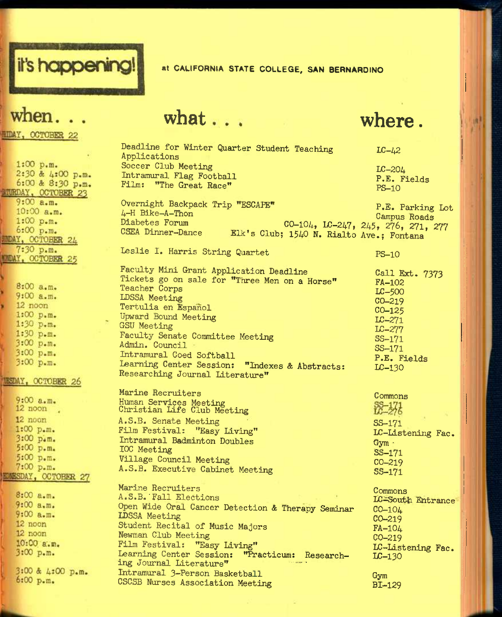

## at CALIFORNIA STATE COLLEGE, SAN BERNARDINO

# when.

**MIDAY, OCTOBER 22** 

 $1:00 p.m.$ 2:30 & 4:00 p.m. 6:00 & 8:30 p.m. **MURDAY, OCTOBER 23**  $9:00 a.m.$ 10:00 a.m.  $1:00 p.m.$ 6:00 p.m. **MDAY, OCTOBER 24** 7:30 p.m. **MIDAY, OCTOBER 25** 8:00 a.m.  $9:00a.m.$ 12 noon  $1:00$   $p.m.$  $1:30 p.m.$  $1:30 p.m.$  $3:00 p.m.$  $3:00 p.m.$ 3:00 p.m. **MESDAY, OCTOBER 26**  $9:00 a.m.$  $12 \text{ noon}$ 12 noon  $1:00 p.m.$ 3:00 p.m. 5:00 p.m.  $5:00 p.m.$  $7:00 p.m.$ **EDNESDAY, OCTOBER 27**  $8:00a.m.$  $9:00 a.m.$  $9:00a.m.$ 12 noon  $12$  noon 10:00 a.m.  $3:00 p.m.$ 

3:00 & 4:00 p.m. 6:00 p.m.

# what ... where.

Intramural 3-Person Basketball CSCSB Nurses Association Meeting

Deadline for Winter Quarter Student Teaching Applications Soccer Club Meeting Intramural Flag Football Film; "The Great Race"  $LC - 42$ LC-204 P.E. Fields PS-10 Overnight Backpack Trip "ESCAPE\* 4-H Bike-A-Thon Diabetes Forum P.E. Parking Lot Campus Roads co-104, Lc-247, 245, 276, 271, 277 CSEA Dinner-Dance Elk's Club; 1540 N. Rialto Ave.; Fontana Leslie I. Harris String Quartet Faculty Mini Grant Application Deadline Tickets go on sale for "Three Men on a Horse" Teacher Corps LDSSA Meeting Tertulia en Espanol Upward Bound Meeting GSU Meeting Faculty Senate Committee Meeting Admin. Council Intramural Coed Softball learning Center Session; "Indexes & Abstracts: Researching Journal Literature" Marine Recruiters Human Services Meeting Christian Life Club Meeting A.S.B. Senate Meeting Film Festival: "Easy Living'\* Intramural Badminton Doubles IOC Meeting Village Council Meeting A.S.B. Executive Cabinet Meeting Marine Recruiters A.S.B. Fall Elections Open Wide Oral Cancer Detection & Therapy Seminar II)SSA Meeting Student Recital of Music Majors Newman Club Meeting Film Festival: "Easy Living" Learning Center Session: "Practicum: Researching Journal Literature" PS-10 Call Ext. 7373 FA-102 LC-500 CO-219 CO-125 LC-271 LC-277 SS-171 SS-171 P.E. Fields LC-I30 Commons<br>SS-171<br>LC-276 SS-171 IC-Listening Fac. Gym • SS-171 CO-219 SS-171 Commons LC^=South Entrance CO-104 CO-219 FA-104 CO-219 IE-Listening Fac. LC-13O

> Gym BI-129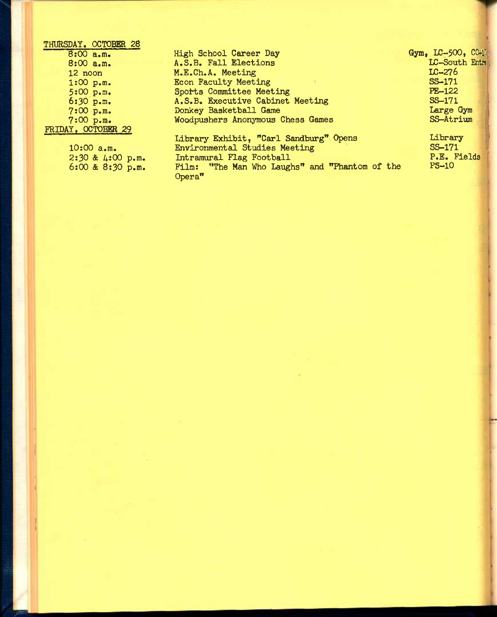| THURSDAY, OCTOBER 28 |                                                                      |                         |
|----------------------|----------------------------------------------------------------------|-------------------------|
| 8:00 a.m.            | High School Career Day                                               | Gym, $LC-500$ , $CO-10$ |
| 8:00 a.m.            | A.S.B. Fall Elections                                                | LC-South Entri          |
| $12$ noon            | M.E.Ch.A. Meeting                                                    | $LC-276$                |
| 1:00 p.m.            | <b>Econ Faculty Meeting</b>                                          | SS-171                  |
| 5:00 p.m.            | Sports Committee Meeting                                             | $PE-122$                |
| $6:30$ p.m.          | A.S.B. Executive Cabinet Meeting                                     | SS-171                  |
| 7:00 p.m.            | Donkey Basketball Game                                               | Large Gym               |
| 7:00 p.m.            | Woodpushers Anonymous Chess Games                                    | SS-Atrium               |
| FRIDAY, OCTOBER 29   |                                                                      |                         |
|                      | Library Exhibit, "Carl Sandburg" Opens                               | Library                 |
| $10:00$ a.m.         | Environmental Studies Meeting                                        | SS-171                  |
| $2:30$ & $4:00$ p.m. | Intramural Flag Football                                             | P.E. Fields             |
| $6:00$ & $8:30$ p.m. | Film: "The Man Who Laughs" and "Phantom of the<br>Opera <sup>n</sup> | $PS-10$                 |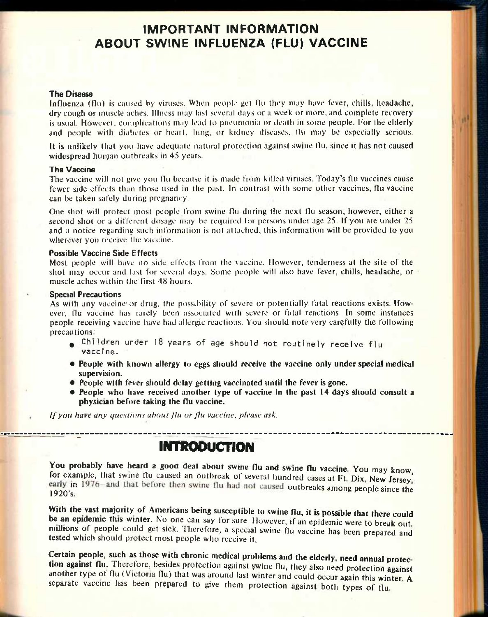# IMPORTANT INFORMATION ABOUT SWINE INFLUENZA (FLU) VACCINE

### **The Disease**

Influenza (flu) is caused hy viruses. When people get flu they may have fever, chills, headache, dry cough or muscle aches. Illness may last several days or a week or more, and complete recovery is usual. However, complications may lead to pneumonia or death in some people. For the elderly and people with diabetes or heart, lung, or kidney diseases, flu may be especially serious.

It is unlikely that you have adequate natural protection against swine flu, since it has not caused widespread human outbreaks in 45 years.

### **The Vaccine**

The vaccine will not give you flu because it is made from killed viruses. Today's flu vaccines cause fewer side effects than those used in the past. In contrast with some other vaccines, flu vaccine can be taken safely during pregnancy.

One shot will protect most people from swine flu during the next flu season; however, either a second shot or a different dosage may be required for persons under age 25. If you are under 25 and a notice regarding such information is not attached, this information will be provided to you wherever you receive the vaccine.

### **Possible Vaccine Side Effects**

Most people will have no side effects from the vaccine. However, tenderness at the site of the shot may occur and last for several days. Some people will also have fever, chills, headache, or muscle aches within the first 48 hours.

### **Special Precautions**

As with any vaccine or drug, the possibility of severe or potentially fatal reactions exists. However, flu vaccine has rarely been associated with severe or fatal reactions. In some instances people receiving vaccine have had allergic reactions. You should note very carefully the following precautions:

- **.** Children under 18 years of age should not routinely receive flu vaccine.
- **People with known allergy to eggs should receive the vaccine only under special medical supervision.**
- **People with fever should delay getting vaccinated until the fever is gone.**
- **People who have received another type of vaccine in the past 14 days should consult a physician before taking the flu vaccine,**

*//you have any questions about flu or jlu vaccine, please ask.* 

## INTRODUCTION

You probably have heard a good deal about swine flu and swine flu vaccine. You may know, for example, that swine flu caused an outbreak of several hundred cases at Ft. Dix, New Jersey, early in 1976–and that before then swine flu had not caused outbreaks among people since the 1920's.

With the vast majority of Americans being susceptible to swine flu, it is possible that there could be an epidemic this winter. No one can say for sure. However, if an epidemic were to break out, millions of people could get sick. Therefore, a special swine flu vaccine has been prepared and **tested** which should protect most people who receive it.

Certain people, such as those with chronic medical problems and the elderly, need annual protec**tion against flu.** Therefore, besides protection against swine flu, they also need protection against another type ot flu (Victoria flu) that was around last winter and could occur again this winter **A**  separate vaccine has been prepared to give them protection against both types of flu.